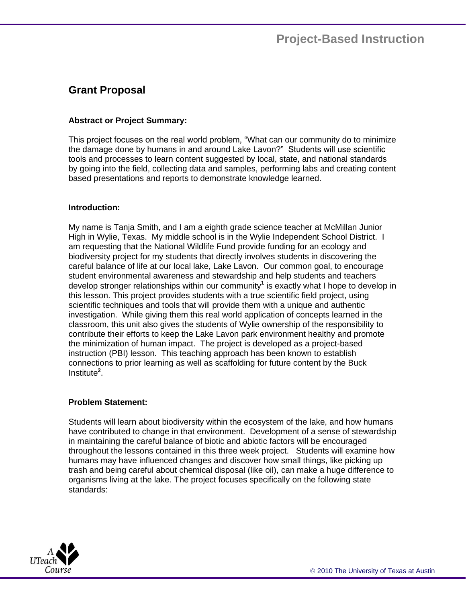# **Grant Proposal**

## **Abstract or Project Summary:**

This project focuses on the real world problem, "What can our community do to minimize the damage done by humans in and around Lake Lavon?" Students will use scientific tools and processes to learn content suggested by local, state, and national standards by going into the field, collecting data and samples, performing labs and creating content based presentations and reports to demonstrate knowledge learned.

### **Introduction:**

My name is Tanja Smith, and I am a eighth grade science teacher at McMillan Junior High in Wylie, Texas. My middle school is in the Wylie Independent School District. I am requesting that the National Wildlife Fund provide funding for an ecology and biodiversity project for my students that directly involves students in discovering the careful balance of life at our local lake, Lake Lavon. Our common goal, to encourage student environmental awareness and stewardship and help students and teachers develop stronger relationships within our community**<sup>1</sup>** is exactly what I hope to develop in this lesson. This project provides students with a true scientific field project, using scientific techniques and tools that will provide them with a unique and authentic investigation. While giving them this real world application of concepts learned in the classroom, this unit also gives the students of Wylie ownership of the responsibility to contribute their efforts to keep the Lake Lavon park environment healthy and promote the minimization of human impact. The project is developed as a project-based instruction (PBI) lesson. This teaching approach has been known to establish connections to prior learning as well as scaffolding for future content by the Buck Institute**<sup>2</sup>** .

### **Problem Statement:**

Students will learn about biodiversity within the ecosystem of the lake, and how humans have contributed to change in that environment. Development of a sense of stewardship in maintaining the careful balance of biotic and abiotic factors will be encouraged throughout the lessons contained in this three week project. Students will examine how humans may have influenced changes and discover how small things, like picking up trash and being careful about chemical disposal (like oil), can make a huge difference to organisms living at the lake. The project focuses specifically on the following state standards:

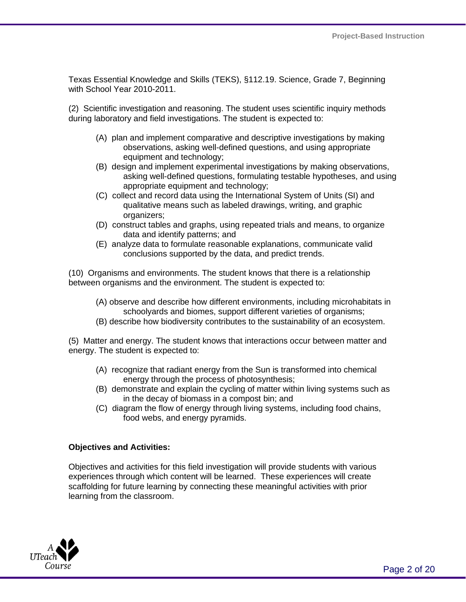Texas Essential Knowledge and Skills (TEKS), §112.19. Science, Grade 7, Beginning with School Year 2010-2011.

(2) Scientific investigation and reasoning. The student uses scientific inquiry methods during laboratory and field investigations. The student is expected to:

- (A) plan and implement comparative and descriptive investigations by making observations, asking well-defined questions, and using appropriate equipment and technology;
- (B) design and implement experimental investigations by making observations, asking well-defined questions, formulating testable hypotheses, and using appropriate equipment and technology;
- (C) collect and record data using the International System of Units (SI) and qualitative means such as labeled drawings, writing, and graphic organizers;
- (D) construct tables and graphs, using repeated trials and means, to organize data and identify patterns; and
- (E) analyze data to formulate reasonable explanations, communicate valid conclusions supported by the data, and predict trends.

(10) Organisms and environments. The student knows that there is a relationship between organisms and the environment. The student is expected to:

- (A) observe and describe how different environments, including microhabitats in schoolyards and biomes, support different varieties of organisms;
- (B) describe how biodiversity contributes to the sustainability of an ecosystem.

(5) Matter and energy. The student knows that interactions occur between matter and energy. The student is expected to:

- (A) recognize that radiant energy from the Sun is transformed into chemical energy through the process of photosynthesis;
- (B) demonstrate and explain the cycling of matter within living systems such as in the decay of biomass in a compost bin; and
- (C) diagram the flow of energy through living systems, including food chains, food webs, and energy pyramids.

### **Objectives and Activities:**

Objectives and activities for this field investigation will provide students with various experiences through which content will be learned. These experiences will create scaffolding for future learning by connecting these meaningful activities with prior learning from the classroom.

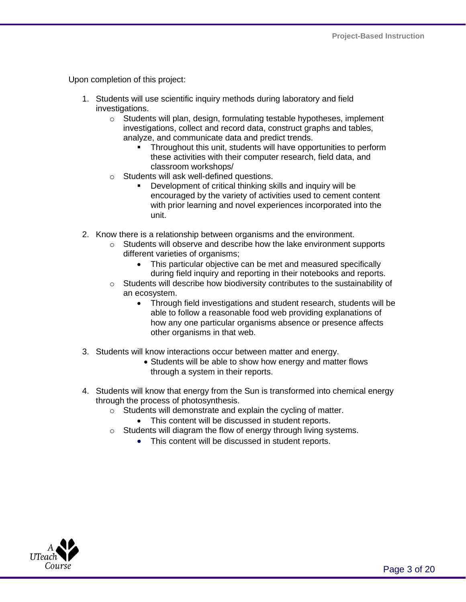Upon completion of this project:

- 1. Students will use scientific inquiry methods during laboratory and field investigations.
	- $\circ$  Students will plan, design, formulating testable hypotheses, implement investigations, collect and record data, construct graphs and tables, analyze, and communicate data and predict trends.
		- **Throughout this unit, students will have opportunities to perform** these activities with their computer research, field data, and classroom workshops/
	- o Students will ask well-defined questions.
		- Development of critical thinking skills and inquiry will be encouraged by the variety of activities used to cement content with prior learning and novel experiences incorporated into the unit.
- 2. Know there is a relationship between organisms and the environment.
	- o Students will observe and describe how the lake environment supports different varieties of organisms;
		- This particular objective can be met and measured specifically during field inquiry and reporting in their notebooks and reports.
	- $\circ$  Students will describe how biodiversity contributes to the sustainability of an ecosystem.
		- Through field investigations and student research, students will be able to follow a reasonable food web providing explanations of how any one particular organisms absence or presence affects other organisms in that web.
- 3. Students will know interactions occur between matter and energy.
	- Students will be able to show how energy and matter flows through a system in their reports.
- 4. Students will know that energy from the Sun is transformed into chemical energy through the process of photosynthesis.
	- o Students will demonstrate and explain the cycling of matter.
		- This content will be discussed in student reports.
	- o Students will diagram the flow of energy through living systems.
		- This content will be discussed in student reports.

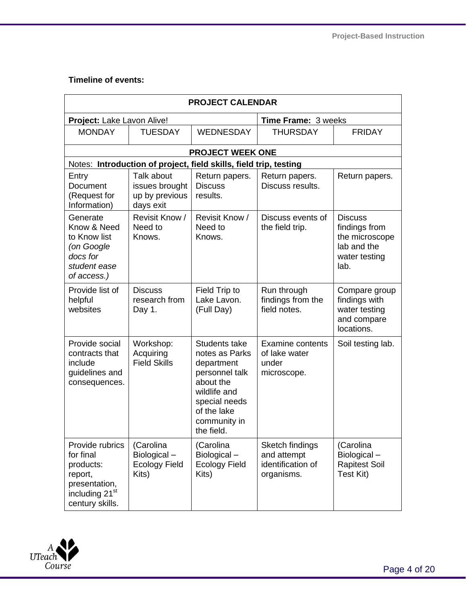# **Timeline of events:**

| <b>PROJECT CALENDAR</b>                                                                                                |                                                                   |                                                                                                                                                            |                                                                   |                                                                                           |  |  |  |
|------------------------------------------------------------------------------------------------------------------------|-------------------------------------------------------------------|------------------------------------------------------------------------------------------------------------------------------------------------------------|-------------------------------------------------------------------|-------------------------------------------------------------------------------------------|--|--|--|
| Project: Lake Lavon Alive!                                                                                             |                                                                   |                                                                                                                                                            | Time Frame: 3 weeks                                               |                                                                                           |  |  |  |
| <b>MONDAY</b>                                                                                                          | <b>TUESDAY</b>                                                    | <b>WEDNESDAY</b>                                                                                                                                           | <b>THURSDAY</b>                                                   | <b>FRIDAY</b>                                                                             |  |  |  |
|                                                                                                                        |                                                                   | <b>PROJECT WEEK ONE</b>                                                                                                                                    |                                                                   |                                                                                           |  |  |  |
|                                                                                                                        | Notes: Introduction of project, field skills, field trip, testing |                                                                                                                                                            |                                                                   |                                                                                           |  |  |  |
| Entry<br><b>Document</b><br>(Request for<br>Information)                                                               | Talk about<br>issues brought<br>up by previous<br>days exit       | Return papers.<br><b>Discuss</b><br>results.                                                                                                               | Return papers.<br>Discuss results.                                | Return papers.                                                                            |  |  |  |
| Generate<br>Know & Need<br>to Know list<br>(on Google<br>docs for<br>student ease<br>of access.)                       | Revisit Know /<br>Need to<br>Knows.                               | Revisit Know /<br>Need to<br>Knows.                                                                                                                        | Discuss events of<br>the field trip.                              | <b>Discuss</b><br>findings from<br>the microscope<br>lab and the<br>water testing<br>lab. |  |  |  |
| Provide list of<br>helpful<br>websites                                                                                 | <b>Discuss</b><br>research from<br>Day 1.                         | Field Trip to<br>Lake Lavon.<br>(Full Day)                                                                                                                 | Run through<br>findings from the<br>field notes.                  | Compare group<br>findings with<br>water testing<br>and compare<br>locations.              |  |  |  |
| Provide social<br>contracts that<br>include<br>guidelines and<br>consequences.                                         | Workshop:<br>Acquiring<br><b>Field Skills</b>                     | Students take<br>notes as Parks<br>department<br>personnel talk<br>about the<br>wildlife and<br>special needs<br>of the lake<br>community in<br>the field. | <b>Examine contents</b><br>of lake water<br>under<br>microscope.  | Soil testing lab.                                                                         |  |  |  |
| Provide rubrics<br>for final<br>products:<br>report,<br>presentation,<br>including 21 <sup>st</sup><br>century skills. | (Carolina<br>Biological-<br><b>Ecology Field</b><br>Kits)         | (Carolina<br>Biological-<br><b>Ecology Field</b><br>Kits)                                                                                                  | Sketch findings<br>and attempt<br>identification of<br>organisms. | (Carolina<br>Biological-<br><b>Rapitest Soil</b><br>Test Kit)                             |  |  |  |

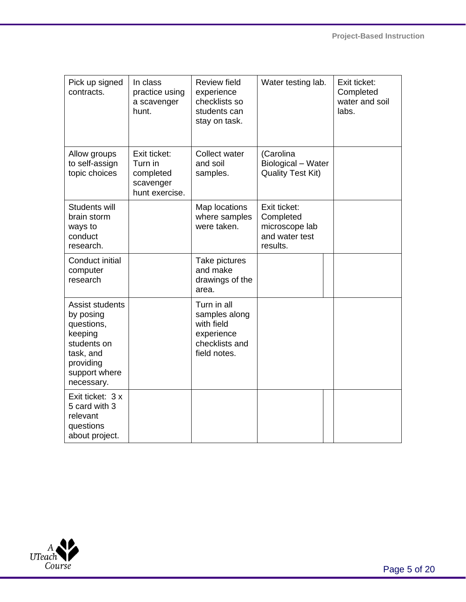| Pick up signed<br>contracts.                                                                                                  | In class<br>practice using<br>a scavenger<br>hunt.                  | <b>Review field</b><br>experience<br>checklists so<br>students can<br>stay on task.        | Water testing lab.                                                        | Exit ticket:<br>Completed<br>water and soil<br>labs. |
|-------------------------------------------------------------------------------------------------------------------------------|---------------------------------------------------------------------|--------------------------------------------------------------------------------------------|---------------------------------------------------------------------------|------------------------------------------------------|
| Allow groups<br>to self-assign<br>topic choices                                                                               | Exit ticket:<br>Turn in<br>completed<br>scavenger<br>hunt exercise. | Collect water<br>and soil<br>samples.                                                      | (Carolina<br>Biological - Water<br><b>Quality Test Kit)</b>               |                                                      |
| Students will<br>brain storm<br>ways to<br>conduct<br>research.                                                               |                                                                     | Map locations<br>where samples<br>were taken.                                              | Exit ticket:<br>Completed<br>microscope lab<br>and water test<br>results. |                                                      |
| Conduct initial<br>computer<br>research                                                                                       |                                                                     | Take pictures<br>and make<br>drawings of the<br>area.                                      |                                                                           |                                                      |
| Assist students<br>by posing<br>questions,<br>keeping<br>students on<br>task, and<br>providing<br>support where<br>necessary. |                                                                     | Turn in all<br>samples along<br>with field<br>experience<br>checklists and<br>field notes. |                                                                           |                                                      |
| Exit ticket: 3 x<br>5 card with 3<br>relevant<br>questions<br>about project.                                                  |                                                                     |                                                                                            |                                                                           |                                                      |

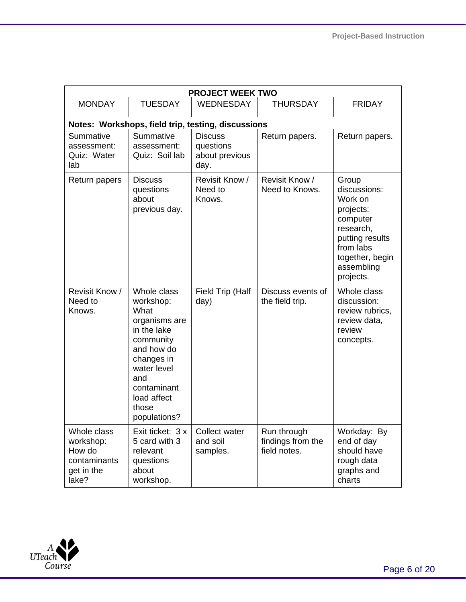| <b>PROJECT WEEK TWO</b>                                                   |                                                                                                                                                                                        |                                                       |                                                  |                                                                                                                                                      |  |  |  |
|---------------------------------------------------------------------------|----------------------------------------------------------------------------------------------------------------------------------------------------------------------------------------|-------------------------------------------------------|--------------------------------------------------|------------------------------------------------------------------------------------------------------------------------------------------------------|--|--|--|
| <b>MONDAY</b>                                                             | <b>TUESDAY</b>                                                                                                                                                                         | <b>WEDNESDAY</b>                                      | <b>THURSDAY</b>                                  | <b>FRIDAY</b>                                                                                                                                        |  |  |  |
|                                                                           | Notes: Workshops, field trip, testing, discussions                                                                                                                                     |                                                       |                                                  |                                                                                                                                                      |  |  |  |
| Summative<br>assessment:<br>Quiz: Water<br>lab                            | Summative<br>assessment:<br>Quiz: Soil lab                                                                                                                                             | <b>Discuss</b><br>questions<br>about previous<br>day. | Return papers.                                   | Return papers.                                                                                                                                       |  |  |  |
| Return papers                                                             | <b>Discuss</b><br>questions<br>about<br>previous day.                                                                                                                                  | Revisit Know /<br>Need to<br>Knows.                   | Revisit Know /<br>Need to Knows.                 | Group<br>discussions:<br>Work on<br>projects:<br>computer<br>research,<br>putting results<br>from labs<br>together, begin<br>assembling<br>projects. |  |  |  |
| Revisit Know /<br>Need to<br>Knows.                                       | Whole class<br>workshop:<br>What<br>organisms are<br>in the lake<br>community<br>and how do<br>changes in<br>water level<br>and<br>contaminant<br>load affect<br>those<br>populations? | Field Trip (Half<br>day)                              | Discuss events of<br>the field trip.             | Whole class<br>discussion:<br>review rubrics,<br>review data,<br>review<br>concepts.                                                                 |  |  |  |
| Whole class<br>workshop:<br>How do<br>contaminants<br>get in the<br>lake? | Exit ticket: 3 x<br>5 card with 3<br>relevant<br>questions<br>about<br>workshop.                                                                                                       | Collect water<br>and soil<br>samples.                 | Run through<br>findings from the<br>field notes. | Workday: By<br>end of day<br>should have<br>rough data<br>graphs and<br>charts                                                                       |  |  |  |

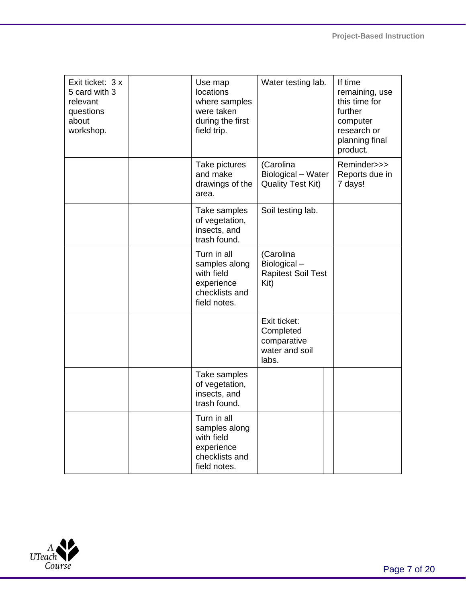| Exit ticket: 3 x<br>5 card with 3<br>relevant<br>questions<br>about<br>workshop. | Use map<br>locations<br>where samples<br>were taken<br>during the first<br>field trip.     | Water testing lab.                                                  | If time<br>remaining, use<br>this time for<br>further<br>computer<br>research or<br>planning final<br>product. |
|----------------------------------------------------------------------------------|--------------------------------------------------------------------------------------------|---------------------------------------------------------------------|----------------------------------------------------------------------------------------------------------------|
|                                                                                  | Take pictures<br>and make<br>drawings of the<br>area.                                      | (Carolina<br>Biological - Water<br><b>Quality Test Kit)</b>         | Reminder>>><br>Reports due in<br>7 days!                                                                       |
|                                                                                  | Take samples<br>of vegetation,<br>insects, and<br>trash found.                             | Soil testing lab.                                                   |                                                                                                                |
|                                                                                  | Turn in all<br>samples along<br>with field<br>experience<br>checklists and<br>field notes. | (Carolina<br>Biological-<br><b>Rapitest Soil Test</b><br>Kit)       |                                                                                                                |
|                                                                                  |                                                                                            | Exit ticket:<br>Completed<br>comparative<br>water and soil<br>labs. |                                                                                                                |
|                                                                                  | Take samples<br>of vegetation,<br>insects, and<br>trash found.                             |                                                                     |                                                                                                                |
|                                                                                  | Turn in all<br>samples along<br>with field<br>experience<br>checklists and<br>field notes. |                                                                     |                                                                                                                |

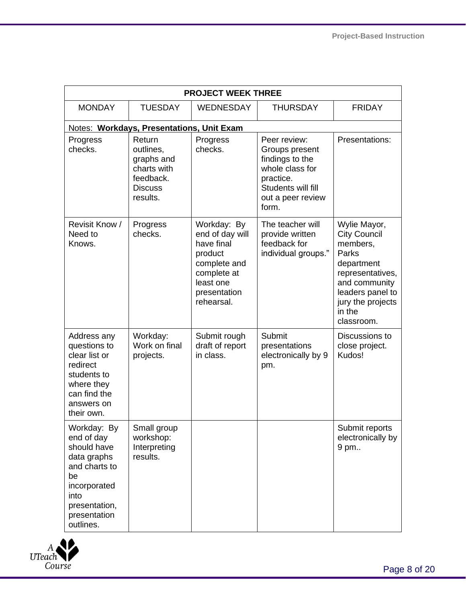| <b>PROJECT WEEK THREE</b>                                                                                                                            |                                                                                             |                                                                                                                                   |                                                                                                                                       |                                                                                                                                                                              |  |  |
|------------------------------------------------------------------------------------------------------------------------------------------------------|---------------------------------------------------------------------------------------------|-----------------------------------------------------------------------------------------------------------------------------------|---------------------------------------------------------------------------------------------------------------------------------------|------------------------------------------------------------------------------------------------------------------------------------------------------------------------------|--|--|
| <b>MONDAY</b>                                                                                                                                        | <b>TUESDAY</b>                                                                              | <b>WEDNESDAY</b>                                                                                                                  | <b>THURSDAY</b>                                                                                                                       | <b>FRIDAY</b>                                                                                                                                                                |  |  |
|                                                                                                                                                      | Notes: Workdays, Presentations, Unit Exam                                                   |                                                                                                                                   |                                                                                                                                       |                                                                                                                                                                              |  |  |
| Progress<br>checks.                                                                                                                                  | Return<br>outlines,<br>graphs and<br>charts with<br>feedback.<br><b>Discuss</b><br>results. | Progress<br>checks.                                                                                                               | Peer review:<br>Groups present<br>findings to the<br>whole class for<br>practice.<br>Students will fill<br>out a peer review<br>form. | Presentations:                                                                                                                                                               |  |  |
| Revisit Know /<br>Need to<br>Knows.                                                                                                                  | Progress<br>checks.                                                                         | Workday: By<br>end of day will<br>have final<br>product<br>complete and<br>complete at<br>least one<br>presentation<br>rehearsal. | The teacher will<br>provide written<br>feedback for<br>individual groups."                                                            | Wylie Mayor,<br><b>City Council</b><br>members,<br>Parks<br>department<br>representatives,<br>and community<br>leaders panel to<br>jury the projects<br>in the<br>classroom. |  |  |
| Address any<br>questions to<br>clear list or<br>redirect<br>students to<br>where they<br>can find the<br>answers on<br>their own.                    | Workday:<br>Work on final<br>projects.                                                      | Submit rough<br>draft of report<br>in class.                                                                                      | Submit<br>presentations<br>electronically by 9<br>pm.                                                                                 | Discussions to<br>close project.<br>Kudos!                                                                                                                                   |  |  |
| Workday: By<br>end of day<br>should have<br>data graphs<br>and charts to<br>be<br>incorporated<br>into<br>presentation,<br>presentation<br>outlines. | Small group<br>workshop:<br>Interpreting<br>results.                                        |                                                                                                                                   |                                                                                                                                       | Submit reports<br>electronically by<br>9 pm                                                                                                                                  |  |  |

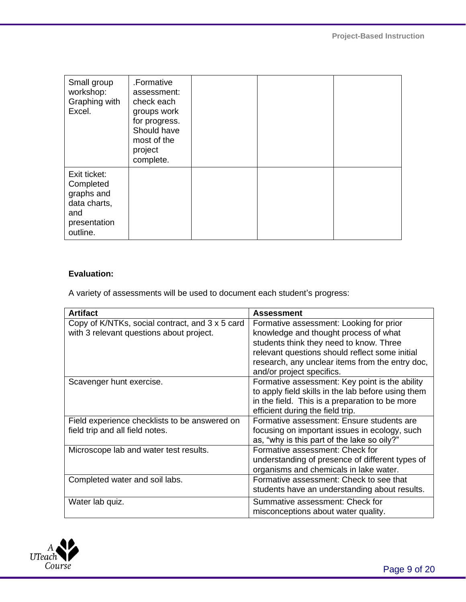| Small group<br>workshop:<br>Graphing with<br>Excel.                                        | .Formative<br>assessment:<br>check each<br>groups work<br>for progress.<br>Should have<br>most of the<br>project<br>complete. |  |  |
|--------------------------------------------------------------------------------------------|-------------------------------------------------------------------------------------------------------------------------------|--|--|
| Exit ticket:<br>Completed<br>graphs and<br>data charts,<br>and<br>presentation<br>outline. |                                                                                                                               |  |  |

# **Evaluation:**

A variety of assessments will be used to document each student's progress:

| <b>Artifact</b>                                                                             | <b>Assessment</b>                                                                                                                                                                                                                                             |
|---------------------------------------------------------------------------------------------|---------------------------------------------------------------------------------------------------------------------------------------------------------------------------------------------------------------------------------------------------------------|
| Copy of K/NTKs, social contract, and 3 x 5 card<br>with 3 relevant questions about project. | Formative assessment: Looking for prior<br>knowledge and thought process of what<br>students think they need to know. Three<br>relevant questions should reflect some initial<br>research, any unclear items from the entry doc,<br>and/or project specifics. |
| Scavenger hunt exercise.                                                                    | Formative assessment: Key point is the ability<br>to apply field skills in the lab before using them<br>in the field. This is a preparation to be more<br>efficient during the field trip.                                                                    |
| Field experience checklists to be answered on<br>field trip and all field notes.            | Formative assessment: Ensure students are<br>focusing on important issues in ecology, such<br>as, "why is this part of the lake so oily?"                                                                                                                     |
| Microscope lab and water test results.                                                      | Formative assessment: Check for<br>understanding of presence of different types of<br>organisms and chemicals in lake water.                                                                                                                                  |
| Completed water and soil labs.                                                              | Formative assessment: Check to see that<br>students have an understanding about results.                                                                                                                                                                      |
| Water lab quiz.                                                                             | Summative assessment: Check for<br>misconceptions about water quality.                                                                                                                                                                                        |

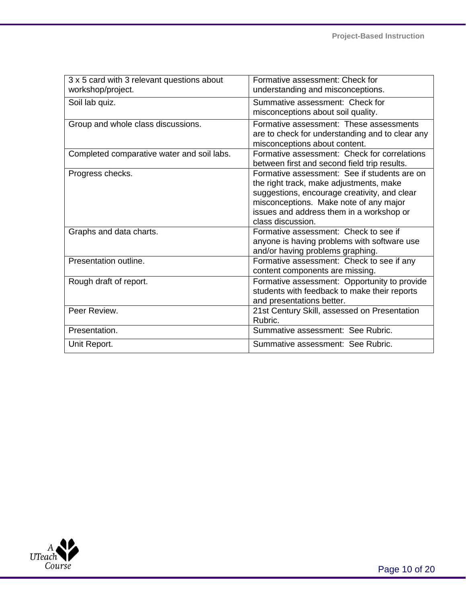| 3 x 5 card with 3 relevant questions about<br>workshop/project. | Formative assessment: Check for<br>understanding and misconceptions.                                                                                                                                                                               |
|-----------------------------------------------------------------|----------------------------------------------------------------------------------------------------------------------------------------------------------------------------------------------------------------------------------------------------|
| Soil lab quiz.                                                  | Summative assessment: Check for<br>misconceptions about soil quality.                                                                                                                                                                              |
| Group and whole class discussions.                              | Formative assessment: These assessments<br>are to check for understanding and to clear any<br>misconceptions about content.                                                                                                                        |
| Completed comparative water and soil labs.                      | Formative assessment: Check for correlations<br>between first and second field trip results.                                                                                                                                                       |
| Progress checks.                                                | Formative assessment: See if students are on<br>the right track, make adjustments, make<br>suggestions, encourage creativity, and clear<br>misconceptions. Make note of any major<br>issues and address them in a workshop or<br>class discussion. |
| Graphs and data charts.                                         | Formative assessment: Check to see if<br>anyone is having problems with software use<br>and/or having problems graphing.                                                                                                                           |
| Presentation outline.                                           | Formative assessment: Check to see if any<br>content components are missing.                                                                                                                                                                       |
| Rough draft of report.                                          | Formative assessment: Opportunity to provide<br>students with feedback to make their reports<br>and presentations better.                                                                                                                          |
| Peer Review.                                                    | 21st Century Skill, assessed on Presentation<br>Rubric.                                                                                                                                                                                            |
| Presentation.                                                   | Summative assessment: See Rubric.                                                                                                                                                                                                                  |
| Unit Report.                                                    | Summative assessment: See Rubric.                                                                                                                                                                                                                  |

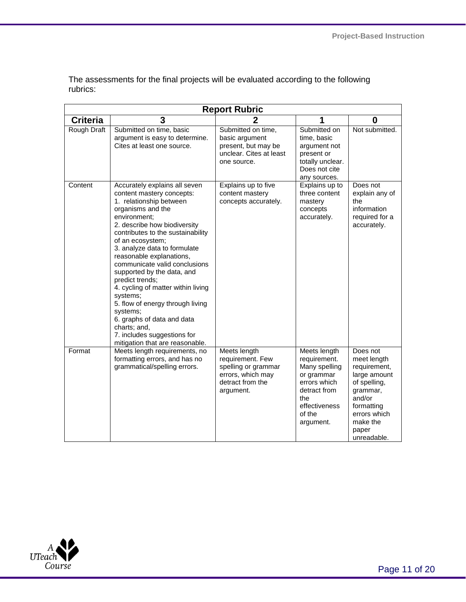| <b>Report Rubric</b> |                                                                                                                                                                                                                                                                                                                                                                                                                                                                                                                                                                                     |                                                                                                               |                                                                                                                                            |                                                                                                                                                                 |  |  |
|----------------------|-------------------------------------------------------------------------------------------------------------------------------------------------------------------------------------------------------------------------------------------------------------------------------------------------------------------------------------------------------------------------------------------------------------------------------------------------------------------------------------------------------------------------------------------------------------------------------------|---------------------------------------------------------------------------------------------------------------|--------------------------------------------------------------------------------------------------------------------------------------------|-----------------------------------------------------------------------------------------------------------------------------------------------------------------|--|--|
| <b>Criteria</b>      | 3                                                                                                                                                                                                                                                                                                                                                                                                                                                                                                                                                                                   | 2                                                                                                             |                                                                                                                                            | 0                                                                                                                                                               |  |  |
| Rough Draft          | Submitted on time, basic<br>argument is easy to determine.<br>Cites at least one source.                                                                                                                                                                                                                                                                                                                                                                                                                                                                                            | Submitted on time,<br>basic argument<br>present, but may be<br>unclear. Cites at least<br>one source.         | Submitted on<br>time, basic<br>argument not<br>present or<br>totally unclear.<br>Does not cite<br>any sources.                             | Not submitted.                                                                                                                                                  |  |  |
| Content              | Accurately explains all seven<br>content mastery concepts:<br>1. relationship between<br>organisms and the<br>environment;<br>2. describe how biodiversity<br>contributes to the sustainability<br>of an ecosystem;<br>3. analyze data to formulate<br>reasonable explanations,<br>communicate valid conclusions<br>supported by the data, and<br>predict trends;<br>4. cycling of matter within living<br>systems;<br>5. flow of energy through living<br>systems;<br>6. graphs of data and data<br>charts; and,<br>7. includes suggestions for<br>mitigation that are reasonable. | Explains up to five<br>content mastery<br>concepts accurately.                                                | Explains up to<br>three content<br>mastery<br>concepts<br>accurately.                                                                      | Does not<br>explain any of<br>the<br>information<br>required for a<br>accurately.                                                                               |  |  |
| Format               | Meets length requirements, no<br>formatting errors, and has no<br>grammatical/spelling errors.                                                                                                                                                                                                                                                                                                                                                                                                                                                                                      | Meets length<br>requirement. Few<br>spelling or grammar<br>errors, which may<br>detract from the<br>argument. | Meets length<br>requirement.<br>Many spelling<br>or grammar<br>errors which<br>detract from<br>the<br>effectiveness<br>of the<br>argument. | Does not<br>meet length<br>requirement,<br>large amount<br>of spelling,<br>grammar,<br>and/or<br>formatting<br>errors which<br>make the<br>paper<br>unreadable. |  |  |

The assessments for the final projects will be evaluated according to the following rubrics:

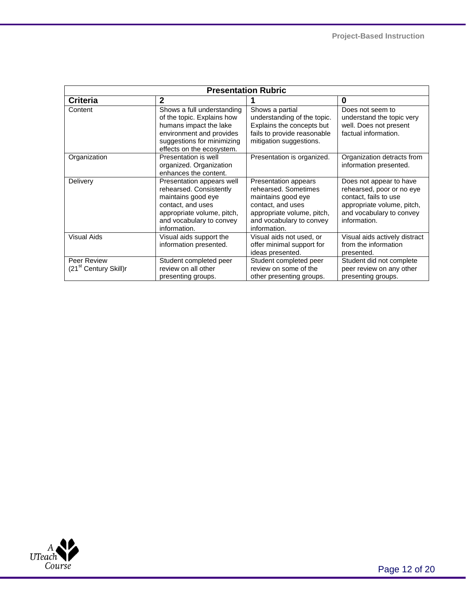| <b>Presentation Rubric</b>                       |                                                                                                                                                                           |                                                                                                                                                                   |                                                                                                                                                         |  |  |  |
|--------------------------------------------------|---------------------------------------------------------------------------------------------------------------------------------------------------------------------------|-------------------------------------------------------------------------------------------------------------------------------------------------------------------|---------------------------------------------------------------------------------------------------------------------------------------------------------|--|--|--|
| <b>Criteria</b>                                  | $\mathbf{2}$                                                                                                                                                              |                                                                                                                                                                   | 0                                                                                                                                                       |  |  |  |
| Content                                          | Shows a full understanding<br>of the topic. Explains how<br>humans impact the lake<br>environment and provides<br>suggestions for minimizing<br>effects on the ecosystem. | Shows a partial<br>understanding of the topic.<br>Explains the concepts but<br>fails to provide reasonable<br>mitigation suggestions.                             | Does not seem to<br>understand the topic very<br>well. Does not present<br>factual information.                                                         |  |  |  |
| Organization                                     | Presentation is well<br>organized. Organization<br>enhances the content.                                                                                                  | Presentation is organized.                                                                                                                                        | Organization detracts from<br>information presented.                                                                                                    |  |  |  |
| Delivery                                         | Presentation appears well<br>rehearsed. Consistently<br>maintains good eye<br>contact, and uses<br>appropriate volume, pitch,<br>and vocabulary to convey<br>information. | Presentation appears<br>rehearsed. Sometimes<br>maintains good eye<br>contact, and uses<br>appropriate volume, pitch,<br>and vocabulary to convey<br>information. | Does not appear to have<br>rehearsed, poor or no eye<br>contact, fails to use<br>appropriate volume, pitch,<br>and vocabulary to convey<br>information. |  |  |  |
| <b>Visual Aids</b>                               | Visual aids support the<br>information presented.                                                                                                                         | Visual aids not used, or<br>offer minimal support for<br>ideas presented.                                                                                         | Visual aids actively distract<br>from the information<br>presented.                                                                                     |  |  |  |
| Peer Review<br>(21 <sup>st</sup> Century Skill)r | Student completed peer<br>review on all other<br>presenting groups.                                                                                                       | Student completed peer<br>review on some of the<br>other presenting groups.                                                                                       | Student did not complete<br>peer review on any other<br>presenting groups.                                                                              |  |  |  |

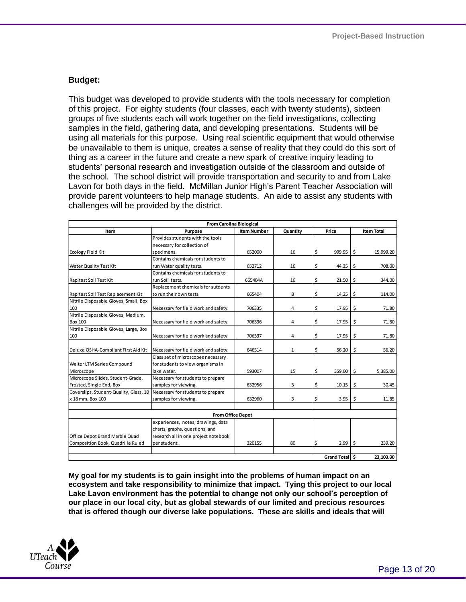### **Budget:**

This budget was developed to provide students with the tools necessary for completion of this project. For eighty students (four classes, each with twenty students), sixteen groups of five students each will work together on the field investigations, collecting samples in the field, gathering data, and developing presentations. Students will be using all materials for this purpose. Using real scientific equipment that would otherwise be unavailable to them is unique, creates a sense of reality that they could do this sort of thing as a career in the future and create a new spark of creative inquiry leading to students' personal research and investigation outside of the classroom and outside of the school. The school district will provide transportation and security to and from Lake Lavon for both days in the field. McMillan Junior High's Parent Teacher Association will provide parent volunteers to help manage students. An aide to assist any students with challenges will be provided by the district.

| <b>From Carolina Biological</b>        |                                      |                    |              |       |        |    |                   |
|----------------------------------------|--------------------------------------|--------------------|--------------|-------|--------|----|-------------------|
| Item                                   | Purpose                              | <b>Item Number</b> | Quantity     | Price |        |    | <b>Item Total</b> |
|                                        | Provides students with the tools     |                    |              |       |        |    |                   |
|                                        | necessary for collection of          |                    |              |       |        |    |                   |
| <b>Ecology Field Kit</b>               | specimens.                           | 652000             | 16           | \$    | 999.95 | \$ | 15,999.20         |
|                                        | Contains chemicals for students to   |                    |              |       |        |    |                   |
| <b>Water Quality Test Kit</b>          | run Water quality tests.             | 652712             | 16           | \$    | 44.25  | \$ | 708.00            |
|                                        | Contains chemicals for students to   |                    |              |       |        |    |                   |
| Rapitest Soil Test Kit                 | run Soil tests.                      | 665404A            | 16           | \$    | 21.50  | \$ | 344.00            |
|                                        | Replacement chemicals for sutdents   |                    |              |       |        |    |                   |
| Rapitest Soil Test Replacement Kit     | to run their own tests.              | 665404             | 8            | \$    | 14.25  | \$ | 114.00            |
| Nitrile Disposable Gloves, Small, Box  |                                      |                    |              |       |        |    |                   |
| 100                                    | Necessary for field work and safety. | 706335             | 4            | \$    | 17.95  | \$ | 71.80             |
| Nitrile Disposable Gloves, Medium,     |                                      |                    |              |       |        |    |                   |
| <b>Box 100</b>                         | Necessary for field work and safety. | 706336             | 4            | \$    | 17.95  | \$ | 71.80             |
| Nitrile Disposable Gloves, Large, Box  |                                      |                    |              |       |        |    |                   |
| 100                                    | Necessary for field work and safety. | 706337             | 4            | \$    | 17.95  | \$ | 71.80             |
|                                        |                                      |                    |              |       |        |    |                   |
| Deluxe OSHA-Compliant First Aid Kit    | Necessary for field work and safety. | 646514             | $\mathbf{1}$ | \$    | 56.20  | \$ | 56.20             |
|                                        | Class set of microscopes necessary   |                    |              |       |        |    |                   |
| Walter LTM Series Compound             | for students to view organisms in    |                    |              |       |        |    |                   |
| Microscope                             | lake water.                          | 593007             | 15           | \$    | 359.00 | \$ | 5,385.00          |
| Microscope Slides, Student-Grade,      | Necessary for students to prepare    |                    |              |       |        |    |                   |
| Frosted, Single End, Box               | samples for viewing.                 | 632956             | 3            | \$    | 10.15  | \$ | 30.45             |
| Coverslips, Student-Quality, Glass, 18 | Necessary for students to prepare    |                    |              |       |        |    |                   |
| x 18 mm, Box 100                       | samples for viewing.                 | 632960             | 3            | \$    | 3.95   | \$ | 11.85             |
|                                        |                                      |                    |              |       |        |    |                   |
|                                        | <b>From Office Depot</b>             |                    |              |       |        |    |                   |
|                                        | experiences, notes, drawings, data   |                    |              |       |        |    |                   |
|                                        | charts, graphs, questions, and       |                    |              |       |        |    |                   |
| Office Depot Brand Marble Quad         | research all in one project notebook |                    |              |       |        |    |                   |
| Composition Book, Quadrille Ruled      | per student.                         | 320155             | 80           | \$    | 2.99   | \$ | 239.20            |
|                                        |                                      |                    |              |       |        |    |                   |
| Grand Total \$                         |                                      |                    |              |       |        |    | 23,103.30         |

**My goal for my students is to gain insight into the problems of human impact on an ecosystem and take responsibility to minimize that impact. Tying this project to our local Lake Lavon environment has the potential to change not only our school's perception of our place in our local city, but as global stewards of our limited and precious resources that is offered though our diverse lake populations. These are skills and ideals that will** 

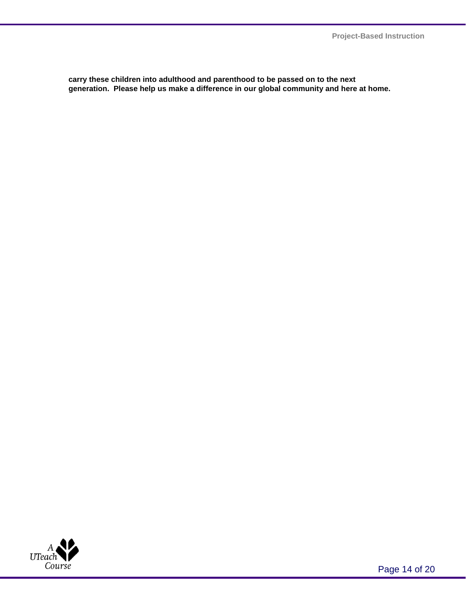**carry these children into adulthood and parenthood to be passed on to the next generation. Please help us make a difference in our global community and here at home.**

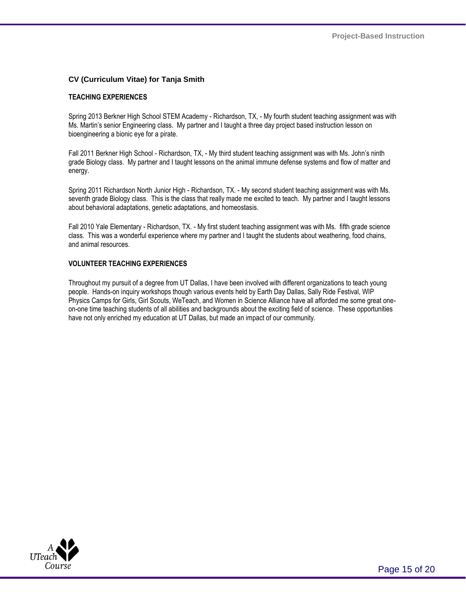#### **CV (Curriculum Vitae) for Tanja Smith**

#### **TEACHING EXPERIENCES**

Spring 2013 Berkner High School STEM Academy - Richardson, TX, - My fourth student teaching assignment was with Ms. Martin's senior Engineering class. My partner and I taught a three day project based instruction lesson on bioengineering a bionic eye for a pirate.

Fall 2011 Berkner High School - Richardson, TX, - My third student teaching assignment was with Ms. John's ninth grade Biology class. My partner and I taught lessons on the animal immune defense systems and flow of matter and energy.

Spring 2011 Richardson North Junior High - Richardson, TX. - My second student teaching assignment was with Ms. seventh grade Biology class. This is the class that really made me excited to teach. My partner and I taught lessons about behavioral adaptations, genetic adaptations, and homeostasis.

Fall 2010 Yale Elementary - Richardson, TX. - My first student teaching assignment was with Ms. fifth grade science class. This was a wonderful experience where my partner and I taught the students about weathering, food chains, and animal resources.

#### **VOLUNTEER TEACHING EXPERIENCES**

Throughout my pursuit of a degree from UT Dallas, I have been involved with different organizations to teach young people. Hands-on inquiry workshops though various events held by Earth Day Dallas, Sally Ride Festival, WIP Physics Camps for Girls, Girl Scouts, WeTeach, and Women in Science Alliance have all afforded me some great oneon-one time teaching students of all abilities and backgrounds about the exciting field of science. These opportunities have not only enriched my education at UT Dallas, but made an impact of our community.

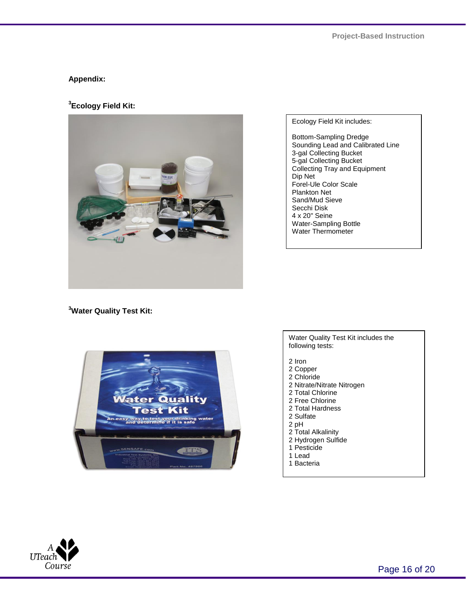#### **Appendix:**

**3 Ecology Field Kit:** 



Ecology Field Kit includes:

Bottom-Sampling Dredge Sounding Lead and Calibrated Line 3-gal Collecting Bucket 5-gal Collecting Bucket Collecting Tray and Equipment Dip Net Forel-Ule Color Scale Plankton Net Sand/Mud Sieve Secchi Disk 4 x 20" Seine Water-Sampling Bottle Water Thermometer

**<sup>3</sup>Water Quality Test Kit:**



Water Quality Test Kit includes the following tests:

- 2 Iron
- 2 Copper
- 2 Chloride
- 2 Nitrate/Nitrate Nitrogen
- 2 Total Chlorine
- 2 Free Chlorine
- 2 Total Hardness
- 2 Sulfate
- 2 pH
- 2 Total Alkalinity
- 2 Hydrogen Sulfide
- 1 Pesticide
- 1 Lead
- 1 Bacteria

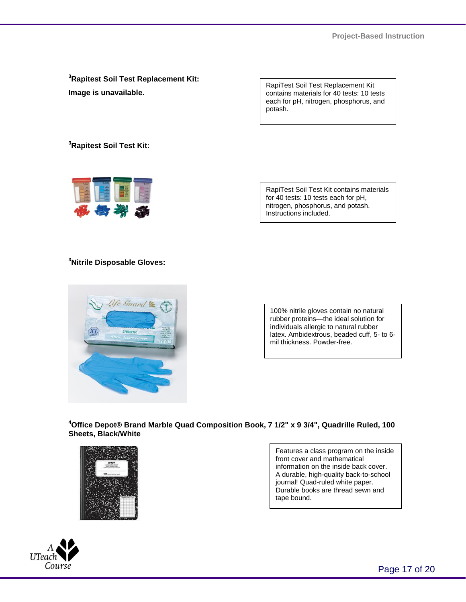**<sup>3</sup>Rapitest Soil Test Replacement Kit: Image is unavailable.** 

RapiTest Soil Test Replacement Kit contains materials for 40 tests: 10 tests each for pH, nitrogen, phosphorus, and potash.

**<sup>3</sup>Rapitest Soil Test Kit:** 



RapiTest Soil Test Kit contains materials for 40 tests: 10 tests each for pH, nitrogen, phosphorus, and potash. Instructions included.

## **<sup>3</sup>Nitrile Disposable Gloves:**



100% nitrile gloves contain no natural rubber proteins—the ideal solution for individuals allergic to natural rubber latex. Ambidextrous, beaded cuff, 5- to 6 mil thickness. Powder-free.

**<sup>4</sup>Office Depot® Brand Marble Quad Composition Book, 7 1/2" x 9 3/4", Quadrille Ruled, 100 Sheets, Black/White** 



Features a class program on the inside front cover and mathematical information on the inside back cover. A durable, high-quality back-to-school journal! Quad-ruled white paper. Durable books are thread sewn and tape bound.



Page 17 of 20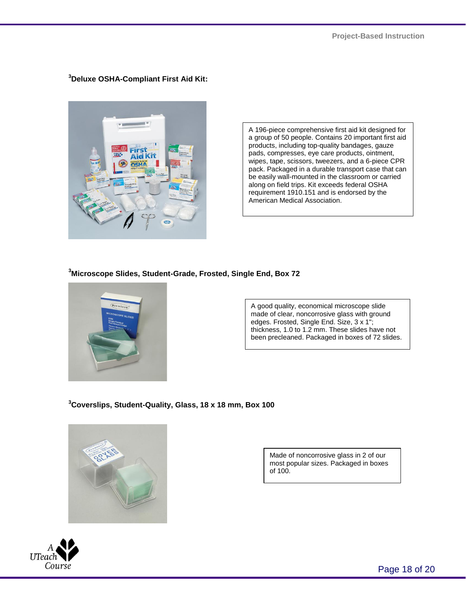**<sup>3</sup>Deluxe OSHA-Compliant First Aid Kit:**



A 196-piece comprehensive first aid kit designed for a group of 50 people. Contains 20 important first aid products, including top-quality bandages, gauze pads, compresses, eye care products, ointment, wipes, tape, scissors, tweezers, and a 6-piece CPR pack. Packaged in a durable transport case that can be easily wall-mounted in the classroom or carried along on field trips. Kit exceeds federal OSHA requirement 1910.151 and is endorsed by the American Medical Association.

**<sup>3</sup>Microscope Slides, Student-Grade, Frosted, Single End, Box 72**



A good quality, economical microscope slide made of clear, noncorrosive glass with ground edges. Frosted, Single End. Size, 3 x 1"; thickness, 1.0 to 1.2 mm. These slides have not been precleaned. Packaged in boxes of 72 slides.

**<sup>3</sup>Coverslips, Student-Quality, Glass, 18 x 18 mm, Box 100** 



Made of noncorrosive glass in 2 of our most popular sizes. Packaged in boxes of 100.



Page 18 of 20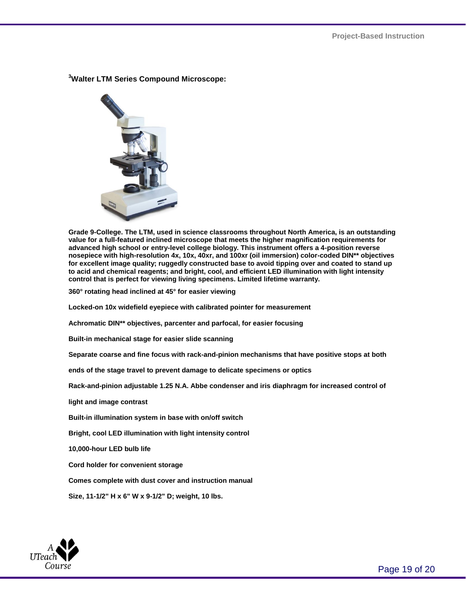

**<sup>3</sup>Walter LTM Series Compound Microscope:**

**Grade 9-College. The LTM, used in science classrooms throughout North America, is an outstanding value for a full-featured inclined microscope that meets the higher magnification requirements for advanced high school or entry-level college biology. This instrument offers a 4-position reverse nosepiece with high-resolution 4x, 10x, 40xr, and 100xr (oil immersion) color-coded DIN\*\* objectives for excellent image quality; ruggedly constructed base to avoid tipping over and coated to stand up to acid and chemical reagents; and bright, cool, and efficient LED illumination with light intensity control that is perfect for viewing living specimens. Limited lifetime warranty.**

**360° rotating head inclined at 45° for easier viewing**

**Locked-on 10x widefield eyepiece with calibrated pointer for measurement**

**Achromatic DIN\*\* objectives, parcenter and parfocal, for easier focusing**

**Built-in mechanical stage for easier slide scanning**

**Separate coarse and fine focus with rack-and-pinion mechanisms that have positive stops at both** 

**ends of the stage travel to prevent damage to delicate specimens or optics**

**Rack-and-pinion adjustable 1.25 N.A. Abbe condenser and iris diaphragm for increased control of** 

**light and image contrast**

**Built-in illumination system in base with on/off switch**

**Bright, cool LED illumination with light intensity control**

**10,000-hour LED bulb life**

**Cord holder for convenient storage**

**Comes complete with dust cover and instruction manual**

**Size, 11-1/2" H x 6" W x 9-1/2" D; weight, 10 lbs.**